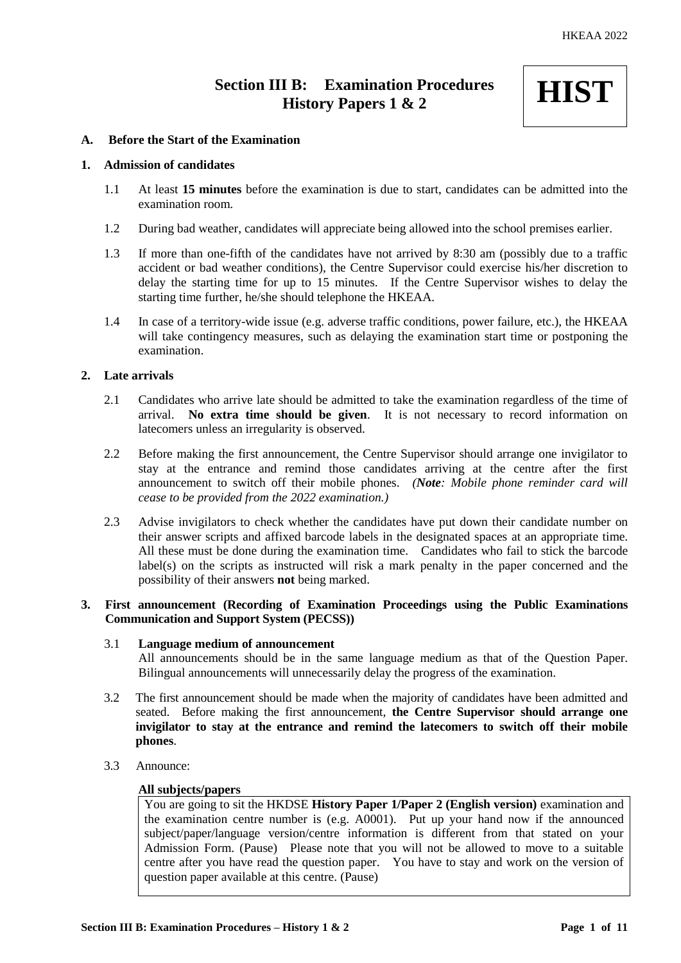# **Section III B: Examination Procedures History Papers 1 & 2**



## **A. Before the Start of the Examination**

## **1. Admission of candidates**

- 1.1 At least **15 minutes** before the examination is due to start, candidates can be admitted into the examination room.
- 1.2 During bad weather, candidates will appreciate being allowed into the school premises earlier.
- 1.3 If more than one-fifth of the candidates have not arrived by 8:30 am (possibly due to a traffic accident or bad weather conditions), the Centre Supervisor could exercise his/her discretion to delay the starting time for up to 15 minutes. If the Centre Supervisor wishes to delay the starting time further, he/she should telephone the HKEAA.
- 1.4 In case of a territory-wide issue (e.g. adverse traffic conditions, power failure, etc.), the HKEAA will take contingency measures, such as delaying the examination start time or postponing the examination.

## **2. Late arrivals**

- 2.1 Candidates who arrive late should be admitted to take the examination regardless of the time of arrival. **No extra time should be given**. It is not necessary to record information on latecomers unless an irregularity is observed.
- 2.2 Before making the first announcement, the Centre Supervisor should arrange one invigilator to stay at the entrance and remind those candidates arriving at the centre after the first announcement to switch off their mobile phones. *(Note: Mobile phone reminder card will cease to be provided from the 2022 examination.)*
- 2.3 Advise invigilators to check whether the candidates have put down their candidate number on their answer scripts and affixed barcode labels in the designated spaces at an appropriate time. All these must be done during the examination time. Candidates who fail to stick the barcode label(s) on the scripts as instructed will risk a mark penalty in the paper concerned and the possibility of their answers **not** being marked.

# **3. First announcement (Recording of Examination Proceedings using the Public Examinations Communication and Support System (PECSS))**

#### 3.1 **Language medium of announcement**

All announcements should be in the same language medium as that of the Question Paper. Bilingual announcements will unnecessarily delay the progress of the examination.

- 3.2 The first announcement should be made when the majority of candidates have been admitted and seated. Before making the first announcement, **the Centre Supervisor should arrange one invigilator to stay at the entrance and remind the latecomers to switch off their mobile phones**.
- 3.3 Announce:

#### **All subjects/papers**

You are going to sit the HKDSE **History Paper 1/Paper 2 (English version)** examination and the examination centre number is (e.g. A0001). Put up your hand now if the announced subject/paper/language version/centre information is different from that stated on your Admission Form. (Pause) Please note that you will not be allowed to move to a suitable centre after you have read the question paper. You have to stay and work on the version of question paper available at this centre. (Pause)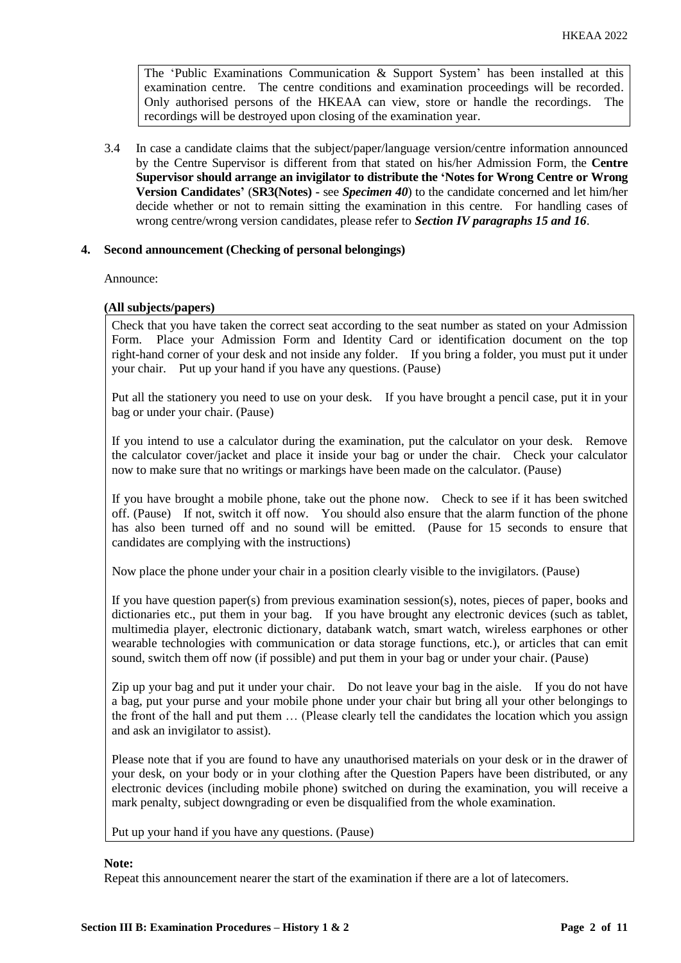The 'Public Examinations Communication  $\&$  Support System' has been installed at this examination centre. The centre conditions and examination proceedings will be recorded. Only authorised persons of the HKEAA can view, store or handle the recordings. The recordings will be destroyed upon closing of the examination year.

3.4 In case a candidate claims that the subject/paper/language version/centre information announced by the Centre Supervisor is different from that stated on his/her Admission Form, the **Centre Supervisor should arrange an invigilator to distribute the 'Notes for Wrong Centre or Wrong Version Candidates'** (**SR3(Notes) -** see *Specimen 40*) to the candidate concerned and let him/her decide whether or not to remain sitting the examination in this centre. For handling cases of wrong centre/wrong version candidates, please refer to *Section IV paragraphs 15 and 16*.

## **4. Second announcement (Checking of personal belongings)**

Announce:

#### **(All subjects/papers)**

Check that you have taken the correct seat according to the seat number as stated on your Admission Form. Place your Admission Form and Identity Card or identification document on the top right-hand corner of your desk and not inside any folder. If you bring a folder, you must put it under your chair. Put up your hand if you have any questions. (Pause)

Put all the stationery you need to use on your desk. If you have brought a pencil case, put it in your bag or under your chair. (Pause)

If you intend to use a calculator during the examination, put the calculator on your desk. Remove the calculator cover/jacket and place it inside your bag or under the chair. Check your calculator now to make sure that no writings or markings have been made on the calculator. (Pause)

If you have brought a mobile phone, take out the phone now. Check to see if it has been switched off. (Pause) If not, switch it off now. You should also ensure that the alarm function of the phone has also been turned off and no sound will be emitted. (Pause for 15 seconds to ensure that candidates are complying with the instructions)

Now place the phone under your chair in a position clearly visible to the invigilators. (Pause)

If you have question paper(s) from previous examination session(s), notes, pieces of paper, books and dictionaries etc., put them in your bag. If you have brought any electronic devices (such as tablet, multimedia player, electronic dictionary, databank watch, smart watch, wireless earphones or other wearable technologies with communication or data storage functions, etc.), or articles that can emit sound, switch them off now (if possible) and put them in your bag or under your chair. (Pause)

Zip up your bag and put it under your chair. Do not leave your bag in the aisle. If you do not have a bag, put your purse and your mobile phone under your chair but bring all your other belongings to the front of the hall and put them … (Please clearly tell the candidates the location which you assign and ask an invigilator to assist).

Please note that if you are found to have any unauthorised materials on your desk or in the drawer of your desk, on your body or in your clothing after the Question Papers have been distributed, or any electronic devices (including mobile phone) switched on during the examination, you will receive a mark penalty, subject downgrading or even be disqualified from the whole examination.

Put up your hand if you have any questions. (Pause)

#### **Note:**

Repeat this announcement nearer the start of the examination if there are a lot of latecomers.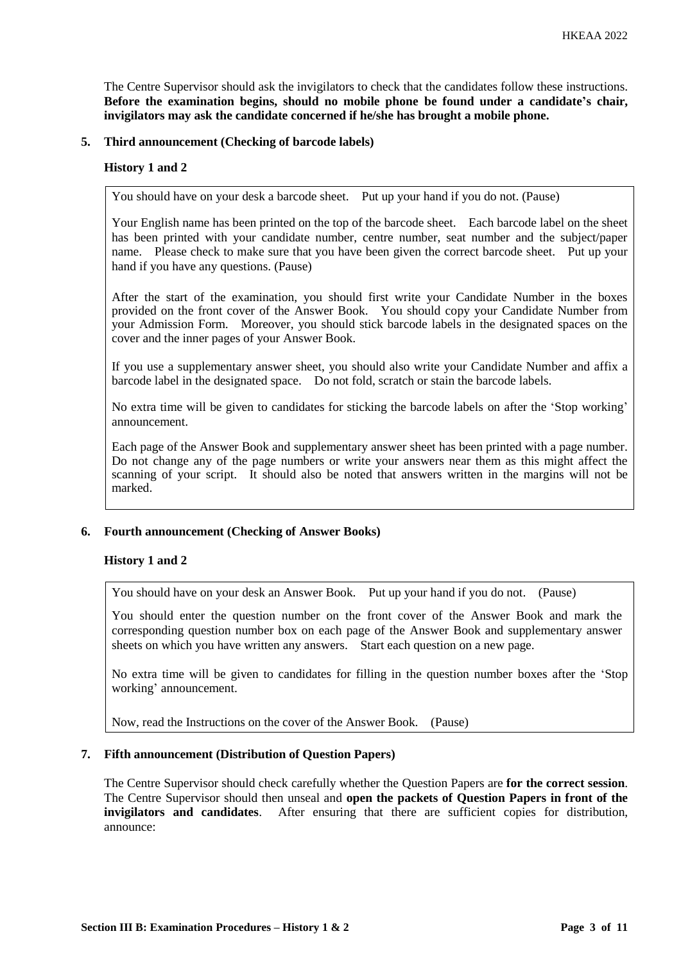The Centre Supervisor should ask the invigilators to check that the candidates follow these instructions. **Before the examination begins, should no mobile phone be found under a candidate's chair, invigilators may ask the candidate concerned if he/she has brought a mobile phone.**

#### **5. Third announcement (Checking of barcode labels)**

#### **History 1 and 2**

You should have on your desk a barcode sheet. Put up your hand if you do not. (Pause)

Your English name has been printed on the top of the barcode sheet. Each barcode label on the sheet has been printed with your candidate number, centre number, seat number and the subject/paper name. Please check to make sure that you have been given the correct barcode sheet. Put up your hand if you have any questions. (Pause)

After the start of the examination, you should first write your Candidate Number in the boxes provided on the front cover of the Answer Book. You should copy your Candidate Number from your Admission Form. Moreover, you should stick barcode labels in the designated spaces on the cover and the inner pages of your Answer Book.

If you use a supplementary answer sheet, you should also write your Candidate Number and affix a barcode label in the designated space. Do not fold, scratch or stain the barcode labels.

No extra time will be given to candidates for sticking the barcode labels on after the 'Stop working' announcement.

Each page of the Answer Book and supplementary answer sheet has been printed with a page number. Do not change any of the page numbers or write your answers near them as this might affect the scanning of your script. It should also be noted that answers written in the margins will not be marked.

## **6. Fourth announcement (Checking of Answer Books)**

## **History 1 and 2**

You should have on your desk an Answer Book. Put up your hand if you do not. (Pause)

You should enter the question number on the front cover of the Answer Book and mark the corresponding question number box on each page of the Answer Book and supplementary answer sheets on which you have written any answers. Start each question on a new page.

No extra time will be given to candidates for filling in the question number boxes after the 'Stop working' announcement.

Now, read the Instructions on the cover of the Answer Book. (Pause)

#### **7. Fifth announcement (Distribution of Question Papers)**

The Centre Supervisor should check carefully whether the Question Papers are **for the correct session**. The Centre Supervisor should then unseal and **open the packets of Question Papers in front of the invigilators and candidates**. After ensuring that there are sufficient copies for distribution, announce: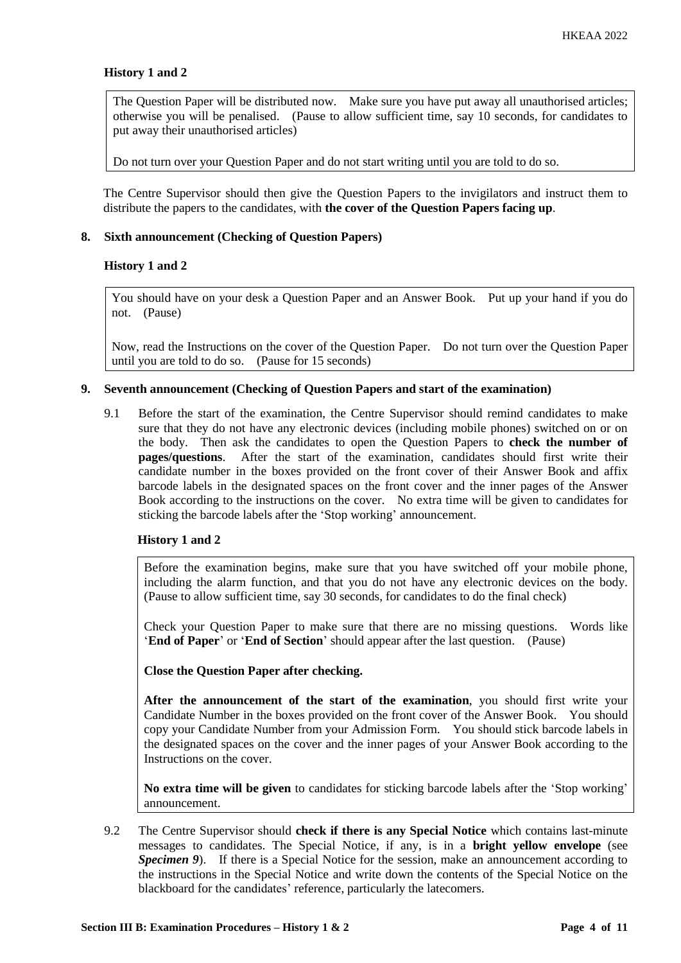## **History 1 and 2**

The Question Paper will be distributed now. Make sure you have put away all unauthorised articles; otherwise you will be penalised. (Pause to allow sufficient time, say 10 seconds, for candidates to put away their unauthorised articles)

Do not turn over your Question Paper and do not start writing until you are told to do so.

The Centre Supervisor should then give the Question Papers to the invigilators and instruct them to distribute the papers to the candidates, with **the cover of the Question Papers facing up**.

#### **8. Sixth announcement (Checking of Question Papers)**

#### **History 1 and 2**

You should have on your desk a Question Paper and an Answer Book. Put up your hand if you do not. (Pause)

Now, read the Instructions on the cover of the Question Paper. Do not turn over the Question Paper until you are told to do so. (Pause for 15 seconds)

#### **9. Seventh announcement (Checking of Question Papers and start of the examination)**

9.1 Before the start of the examination, the Centre Supervisor should remind candidates to make sure that they do not have any electronic devices (including mobile phones) switched on or on the body. Then ask the candidates to open the Question Papers to **check the number of pages/questions**. After the start of the examination, candidates should first write their candidate number in the boxes provided on the front cover of their Answer Book and affix barcode labels in the designated spaces on the front cover and the inner pages of the Answer Book according to the instructions on the cover. No extra time will be given to candidates for sticking the barcode labels after the 'Stop working' announcement.

### **History 1 and 2**

Before the examination begins, make sure that you have switched off your mobile phone, including the alarm function, and that you do not have any electronic devices on the body. (Pause to allow sufficient time, say 30 seconds, for candidates to do the final check)

Check your Question Paper to make sure that there are no missing questions. Words like '**End of Paper**' or '**End of Section**' should appear after the last question. (Pause)

**Close the Question Paper after checking.**

**After the announcement of the start of the examination**, you should first write your Candidate Number in the boxes provided on the front cover of the Answer Book. You should copy your Candidate Number from your Admission Form. You should stick barcode labels in the designated spaces on the cover and the inner pages of your Answer Book according to the Instructions on the cover.

**No extra time will be given** to candidates for sticking barcode labels after the 'Stop working' announcement.

9.2 The Centre Supervisor should **check if there is any Special Notice** which contains last-minute messages to candidates. The Special Notice, if any, is in a **bright yellow envelope** (see *Specimen 9*). If there is a Special Notice for the session, make an announcement according to the instructions in the Special Notice and write down the contents of the Special Notice on the blackboard for the candidates' reference, particularly the latecomers.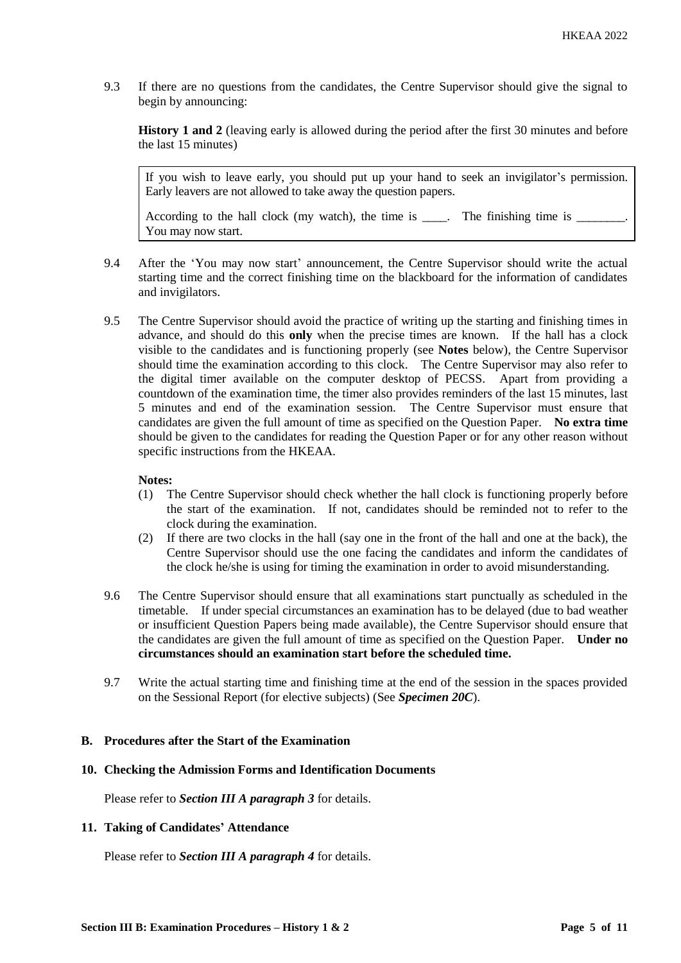9.3 If there are no questions from the candidates, the Centre Supervisor should give the signal to begin by announcing:

**History 1 and 2** (leaving early is allowed during the period after the first 30 minutes and before the last 15 minutes)

If you wish to leave early, you should put up your hand to seek an invigilator's permission. Early leavers are not allowed to take away the question papers.

According to the hall clock (my watch), the time is \_\_\_\_. The finishing time is \_\_\_\_\_ You may now start.

- 9.4 After the 'You may now start' announcement, the Centre Supervisor should write the actual starting time and the correct finishing time on the blackboard for the information of candidates and invigilators.
- 9.5 The Centre Supervisor should avoid the practice of writing up the starting and finishing times in advance, and should do this **only** when the precise times are known. If the hall has a clock visible to the candidates and is functioning properly (see **Notes** below), the Centre Supervisor should time the examination according to this clock. The Centre Supervisor may also refer to the digital timer available on the computer desktop of PECSS. Apart from providing a countdown of the examination time, the timer also provides reminders of the last 15 minutes, last 5 minutes and end of the examination session. The Centre Supervisor must ensure that candidates are given the full amount of time as specified on the Question Paper. **No extra time** should be given to the candidates for reading the Question Paper or for any other reason without specific instructions from the HKEAA.

## **Notes:**

- (1) The Centre Supervisor should check whether the hall clock is functioning properly before the start of the examination. If not, candidates should be reminded not to refer to the clock during the examination.
- (2) If there are two clocks in the hall (say one in the front of the hall and one at the back), the Centre Supervisor should use the one facing the candidates and inform the candidates of the clock he/she is using for timing the examination in order to avoid misunderstanding.
- 9.6 The Centre Supervisor should ensure that all examinations start punctually as scheduled in the timetable. If under special circumstances an examination has to be delayed (due to bad weather or insufficient Question Papers being made available), the Centre Supervisor should ensure that the candidates are given the full amount of time as specified on the Question Paper. **Under no circumstances should an examination start before the scheduled time.**
- 9.7 Write the actual starting time and finishing time at the end of the session in the spaces provided on the Sessional Report (for elective subjects) (See *Specimen 20C*).

## **B. Procedures after the Start of the Examination**

#### **10. Checking the Admission Forms and Identification Documents**

Please refer to *Section III A paragraph 3* for details.

# **11. Taking of Candidates' Attendance**

Please refer to *Section III A paragraph 4* for details.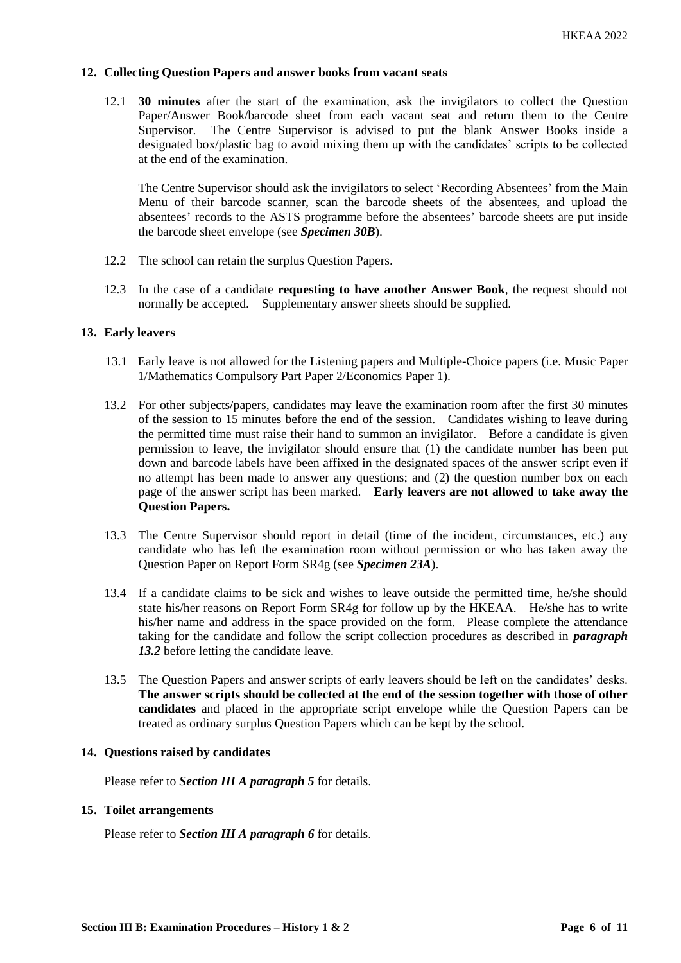## **12. Collecting Question Papers and answer books from vacant seats**

12.1 **30 minutes** after the start of the examination, ask the invigilators to collect the Question Paper/Answer Book/barcode sheet from each vacant seat and return them to the Centre Supervisor. The Centre Supervisor is advised to put the blank Answer Books inside a designated box/plastic bag to avoid mixing them up with the candidates' scripts to be collected at the end of the examination.

The Centre Supervisor should ask the invigilators to select 'Recording Absentees' from the Main Menu of their barcode scanner, scan the barcode sheets of the absentees, and upload the absentees' records to the ASTS programme before the absentees' barcode sheets are put inside the barcode sheet envelope (see *Specimen 30B*).

- 12.2 The school can retain the surplus Question Papers.
- 12.3 In the case of a candidate **requesting to have another Answer Book**, the request should not normally be accepted. Supplementary answer sheets should be supplied.

## **13. Early leavers**

- 13.1 Early leave is not allowed for the Listening papers and Multiple-Choice papers (i.e. Music Paper 1/Mathematics Compulsory Part Paper 2/Economics Paper 1).
- 13.2 For other subjects/papers, candidates may leave the examination room after the first 30 minutes of the session to 15 minutes before the end of the session. Candidates wishing to leave during the permitted time must raise their hand to summon an invigilator. Before a candidate is given permission to leave, the invigilator should ensure that (1) the candidate number has been put down and barcode labels have been affixed in the designated spaces of the answer script even if no attempt has been made to answer any questions; and (2) the question number box on each page of the answer script has been marked. **Early leavers are not allowed to take away the Question Papers.**
- 13.3 The Centre Supervisor should report in detail (time of the incident, circumstances, etc.) any candidate who has left the examination room without permission or who has taken away the Question Paper on Report Form SR4g (see *Specimen 23A*).
- 13.4 If a candidate claims to be sick and wishes to leave outside the permitted time, he/she should state his/her reasons on Report Form SR4g for follow up by the HKEAA. He/she has to write his/her name and address in the space provided on the form. Please complete the attendance taking for the candidate and follow the script collection procedures as described in *paragraph 13.2* before letting the candidate leave.
- 13.5 The Question Papers and answer scripts of early leavers should be left on the candidates' desks. **The answer scripts should be collected at the end of the session together with those of other candidates** and placed in the appropriate script envelope while the Question Papers can be treated as ordinary surplus Question Papers which can be kept by the school.

#### **14. Questions raised by candidates**

Please refer to *Section III A paragraph 5* for details.

#### **15. Toilet arrangements**

Please refer to *Section III A paragraph 6* for details.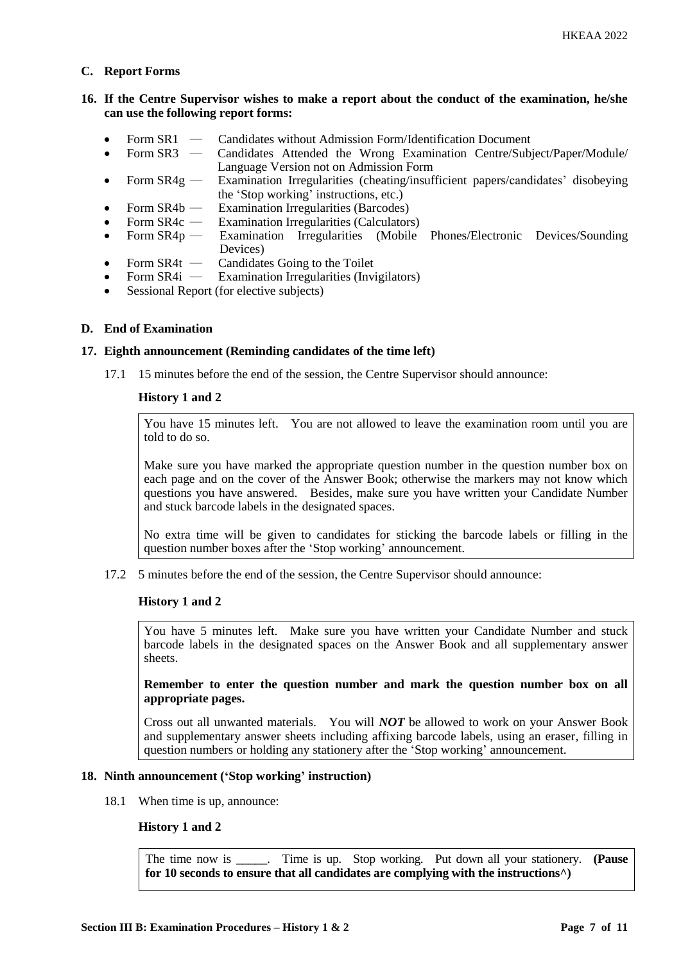## **C. Report Forms**

# **16. If the Centre Supervisor wishes to make a report about the conduct of the examination, he/she can use the following report forms:**

- Form SR1 Candidates without Admission Form/Identification Document
- Form SR3 ― Candidates Attended the Wrong Examination Centre/Subject/Paper/Module/ Language Version not on Admission Form
- Form SR4g Examination Irregularities (cheating/insufficient papers/candidates' disobeying the 'Stop working' instructions, etc.)
- Form SR4b ― Examination Irregularities (Barcodes)
- Form SR4c Examination Irregularities (Calculators)<br>Form SR4p Examination Irregularities (Mobile
- Form SR4p Examination Irregularities (Mobile Phones/Electronic Devices/Sounding Devices)
- Form SR4t Candidates Going to the Toilet<br>• Form SR4i Examination Irregularities (Invi
- Examination Irregularities (Invigilators)
- Sessional Report (for elective subjects)

## **D. End of Examination**

#### **17. Eighth announcement (Reminding candidates of the time left)**

17.1 15 minutes before the end of the session, the Centre Supervisor should announce:

## **History 1 and 2**

You have 15 minutes left. You are not allowed to leave the examination room until you are told to do so.

Make sure you have marked the appropriate question number in the question number box on each page and on the cover of the Answer Book; otherwise the markers may not know which questions you have answered. Besides, make sure you have written your Candidate Number and stuck barcode labels in the designated spaces.

No extra time will be given to candidates for sticking the barcode labels or filling in the question number boxes after the 'Stop working' announcement.

17.2 5 minutes before the end of the session, the Centre Supervisor should announce:

#### **History 1 and 2**

You have 5 minutes left. Make sure you have written your Candidate Number and stuck barcode labels in the designated spaces on the Answer Book and all supplementary answer sheets.

**Remember to enter the question number and mark the question number box on all appropriate pages.** 

Cross out all unwanted materials. You will *NOT* be allowed to work on your Answer Book and supplementary answer sheets including affixing barcode labels, using an eraser, filling in question numbers or holding any stationery after the 'Stop working' announcement.

#### **18. Ninth announcement ('Stop working' instruction)**

18.1 When time is up, announce:

## **History 1 and 2**

The time now is \_\_\_\_\_. Time is up. Stop working. Put down all your stationery. **(Pause for 10 seconds to ensure that all candidates are complying with the instructions^)**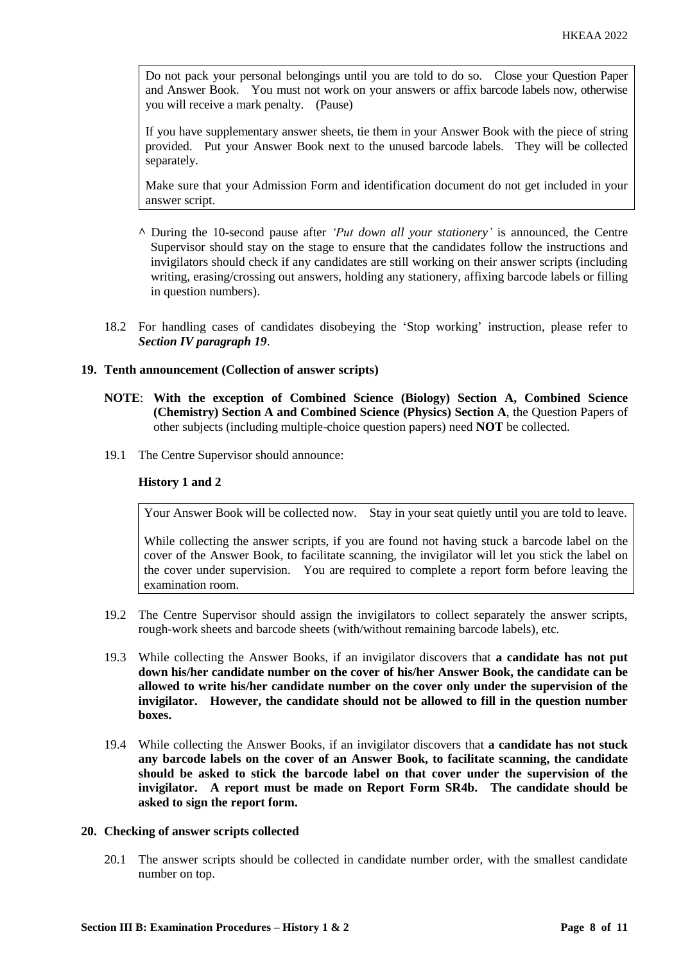Do not pack your personal belongings until you are told to do so. Close your Question Paper and Answer Book. You must not work on your answers or affix barcode labels now, otherwise you will receive a mark penalty. (Pause)

If you have supplementary answer sheets, tie them in your Answer Book with the piece of string provided. Put your Answer Book next to the unused barcode labels. They will be collected separately.

Make sure that your Admission Form and identification document do not get included in your answer script.

- **^** During the 10-second pause after *'Put down all your stationery'* is announced, the Centre Supervisor should stay on the stage to ensure that the candidates follow the instructions and invigilators should check if any candidates are still working on their answer scripts (including writing, erasing/crossing out answers, holding any stationery, affixing barcode labels or filling in question numbers).
- 18.2 For handling cases of candidates disobeying the 'Stop working' instruction, please refer to *Section IV paragraph 19*.

## **19. Tenth announcement (Collection of answer scripts)**

- **NOTE**: **With the exception of Combined Science (Biology) Section A, Combined Science (Chemistry) Section A and Combined Science (Physics) Section A**, the Question Papers of other subjects (including multiple-choice question papers) need **NOT** be collected.
- 19.1 The Centre Supervisor should announce:

## **History 1 and 2**

Your Answer Book will be collected now. Stay in your seat quietly until you are told to leave.

While collecting the answer scripts, if you are found not having stuck a barcode label on the cover of the Answer Book, to facilitate scanning, the invigilator will let you stick the label on the cover under supervision. You are required to complete a report form before leaving the examination room.

- 19.2 The Centre Supervisor should assign the invigilators to collect separately the answer scripts, rough-work sheets and barcode sheets (with/without remaining barcode labels), etc.
- 19.3 While collecting the Answer Books, if an invigilator discovers that **a candidate has not put down his/her candidate number on the cover of his/her Answer Book, the candidate can be allowed to write his/her candidate number on the cover only under the supervision of the invigilator. However, the candidate should not be allowed to fill in the question number boxes.**
- 19.4 While collecting the Answer Books, if an invigilator discovers that **a candidate has not stuck any barcode labels on the cover of an Answer Book, to facilitate scanning, the candidate should be asked to stick the barcode label on that cover under the supervision of the invigilator. A report must be made on Report Form SR4b. The candidate should be asked to sign the report form.**

#### **20. Checking of answer scripts collected**

20.1 The answer scripts should be collected in candidate number order, with the smallest candidate number on top.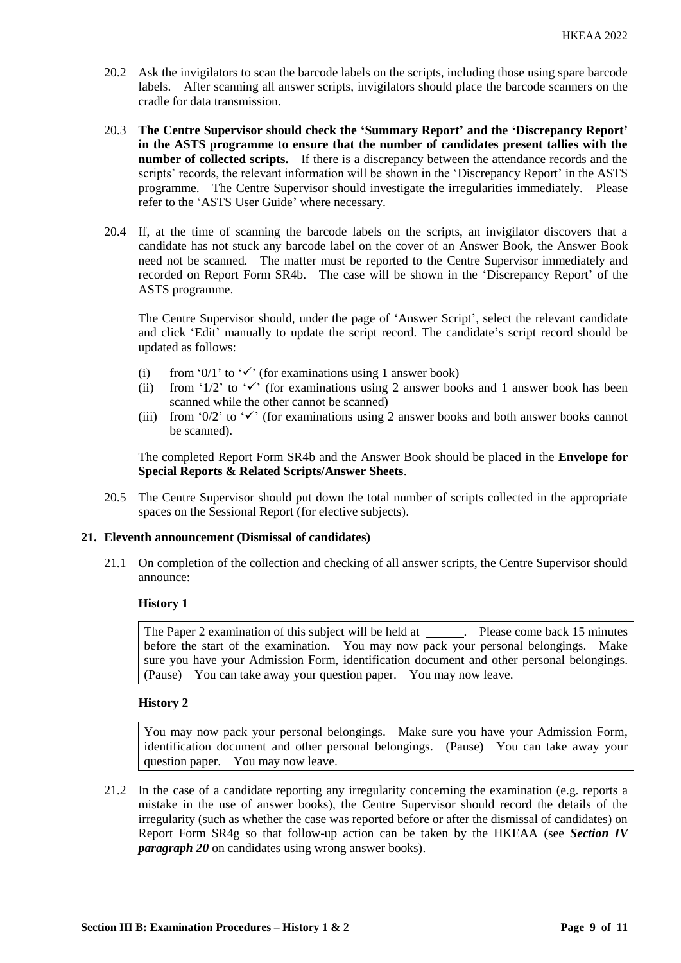- 20.2 Ask the invigilators to scan the barcode labels on the scripts, including those using spare barcode labels. After scanning all answer scripts, invigilators should place the barcode scanners on the cradle for data transmission.
- 20.3 **The Centre Supervisor should check the 'Summary Report' and the 'Discrepancy Report' in the ASTS programme to ensure that the number of candidates present tallies with the number of collected scripts.** If there is a discrepancy between the attendance records and the scripts' records, the relevant information will be shown in the 'Discrepancy Report' in the ASTS programme. The Centre Supervisor should investigate the irregularities immediately. Please refer to the 'ASTS User Guide' where necessary.
- 20.4 If, at the time of scanning the barcode labels on the scripts, an invigilator discovers that a candidate has not stuck any barcode label on the cover of an Answer Book, the Answer Book need not be scanned. The matter must be reported to the Centre Supervisor immediately and recorded on Report Form SR4b. The case will be shown in the 'Discrepancy Report' of the ASTS programme.

The Centre Supervisor should, under the page of 'Answer Script', select the relevant candidate and click 'Edit' manually to update the script record. The candidate's script record should be updated as follows:

- (i) from '0/1' to ' $\checkmark$ ' (for examinations using 1 answer book)
- (ii) from '1/2' to ' $\checkmark$ ' (for examinations using 2 answer books and 1 answer book has been scanned while the other cannot be scanned)
- (iii) from '0/2' to ' $\checkmark$ ' (for examinations using 2 answer books and both answer books cannot be scanned).

The completed Report Form SR4b and the Answer Book should be placed in the **Envelope for Special Reports & Related Scripts/Answer Sheets**.

20.5 The Centre Supervisor should put down the total number of scripts collected in the appropriate spaces on the Sessional Report (for elective subjects).

## **21. Eleventh announcement (Dismissal of candidates)**

21.1 On completion of the collection and checking of all answer scripts, the Centre Supervisor should announce:

## **History 1**

The Paper 2 examination of this subject will be held at \_\_\_\_\_\_. Please come back 15 minutes before the start of the examination. You may now pack your personal belongings. Make sure you have your Admission Form, identification document and other personal belongings. (Pause) You can take away your question paper. You may now leave.

#### **History 2**

You may now pack your personal belongings. Make sure you have your Admission Form, identification document and other personal belongings. (Pause) You can take away your question paper. You may now leave.

21.2 In the case of a candidate reporting any irregularity concerning the examination (e.g. reports a mistake in the use of answer books), the Centre Supervisor should record the details of the irregularity (such as whether the case was reported before or after the dismissal of candidates) on Report Form SR4g so that follow-up action can be taken by the HKEAA (see *Section IV paragraph 20* on candidates using wrong answer books).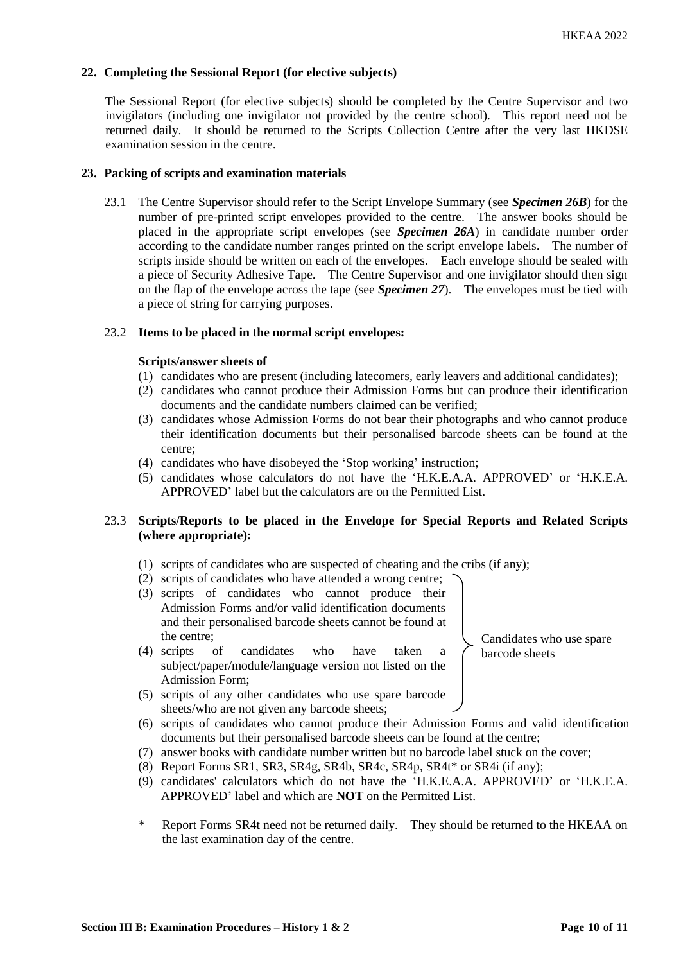## **22. Completing the Sessional Report (for elective subjects)**

The Sessional Report (for elective subjects) should be completed by the Centre Supervisor and two invigilators (including one invigilator not provided by the centre school). This report need not be returned daily. It should be returned to the Scripts Collection Centre after the very last HKDSE examination session in the centre.

#### **23. Packing of scripts and examination materials**

23.1 The Centre Supervisor should refer to the Script Envelope Summary (see *Specimen 26B*) for the number of pre-printed script envelopes provided to the centre. The answer books should be placed in the appropriate script envelopes (see *Specimen 26A*) in candidate number order according to the candidate number ranges printed on the script envelope labels. The number of scripts inside should be written on each of the envelopes. Each envelope should be sealed with a piece of Security Adhesive Tape. The Centre Supervisor and one invigilator should then sign on the flap of the envelope across the tape (see *Specimen 27*). The envelopes must be tied with a piece of string for carrying purposes.

## 23.2 **Items to be placed in the normal script envelopes:**

#### **Scripts/answer sheets of**

- (1) candidates who are present (including latecomers, early leavers and additional candidates);
- (2) candidates who cannot produce their Admission Forms but can produce their identification documents and the candidate numbers claimed can be verified;
- (3) candidates whose Admission Forms do not bear their photographs and who cannot produce their identification documents but their personalised barcode sheets can be found at the centre;
- (4) candidates who have disobeyed the 'Stop working' instruction;
- (5) candidates whose calculators do not have the 'H.K.E.A.A. APPROVED' or 'H.K.E.A. APPROVED' label but the calculators are on the Permitted List.

# 23.3 **Scripts/Reports to be placed in the Envelope for Special Reports and Related Scripts (where appropriate):**

- (1) scripts of candidates who are suspected of cheating and the cribs (if any);
- (2) scripts of candidates who have attended a wrong centre;
- (3) scripts of candidates who cannot produce their Admission Forms and/or valid identification documents and their personalised barcode sheets cannot be found at the centre;
- (4) scripts of candidates who have taken a subject/paper/module/language version not listed on the Admission Form;
- (5) scripts of any other candidates who use spare barcode sheets/who are not given any barcode sheets;
- (6) scripts of candidates who cannot produce their Admission Forms and valid identification documents but their personalised barcode sheets can be found at the centre;
- (7) answer books with candidate number written but no barcode label stuck on the cover;
- (8) Report Forms SR1, SR3, SR4g, SR4b, SR4c, SR4p, SR4t\* or SR4i (if any);
- (9) candidates' calculators which do not have the 'H.K.E.A.A. APPROVED' or 'H.K.E.A. APPROVED' label and which are **NOT** on the Permitted List.
- \* Report Forms SR4t need not be returned daily. They should be returned to the HKEAA on the last examination day of the centre.

Candidates who use spare barcode sheets